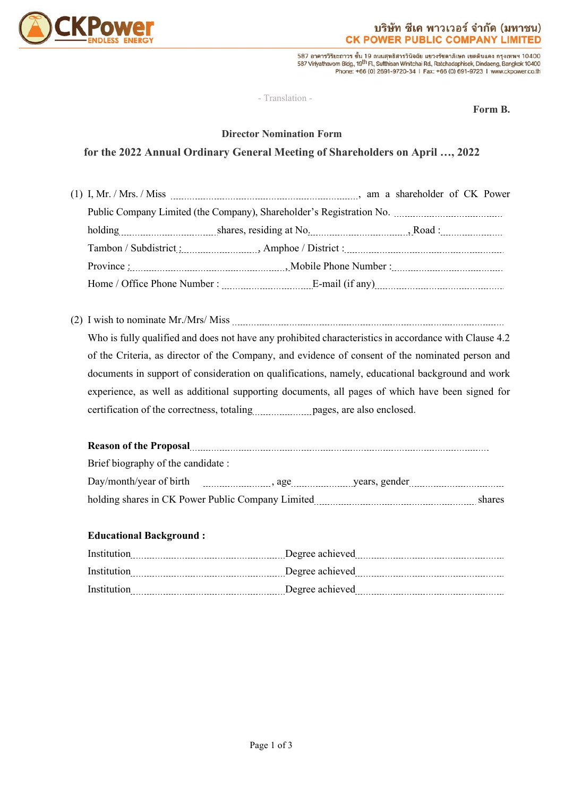

587 อาคารวิริยะถาวร ชั้น 19 ถนนสุทธิสารวินิจฉัย แขวงรัชดาภิเษก เขตดินแดง กรุงเทพฯ 10400<br>587 Viriyathavom Bldg, 19<sup>th</sup> Fl, Sutthisan Winitchai Rd, Ratchadaphisek, Dindaeng, Bangkok 10400 Phone: +66 (0) 2691-9720-34 | Fax: +66 (0) 691-9723 | www.ckpower.co.th

- Translation -

**Form B.**

### **Director Nomination Form**

## **for the 2022 Annual Ordinary General Meeting of Shareholders on April …, 2022**

(2) I wish to nominate Mr./Mrs/ Miss Who is fully qualified and does not have any prohibited characteristics in accordance with Clause 4.2 of the Criteria, as director of the Company, and evidence of consent of the nominated person and documents in support of consideration on qualifications, namely, educational background and work experience, as well as additional supporting documents, all pages of which have been signed for certification of the correctness, totaling matrix pages, are also enclosed.

# **Reason of the Proposal**

| Brief biography of the candidate : |                                                   |  |        |  |
|------------------------------------|---------------------------------------------------|--|--------|--|
|                                    |                                                   |  |        |  |
|                                    | holding shares in CK Power Public Company Limited |  | shares |  |

#### **Educational Background :**

| Institution | Degree achieved |
|-------------|-----------------|
| Institution | Degree achieved |
| Institution | Degree achieved |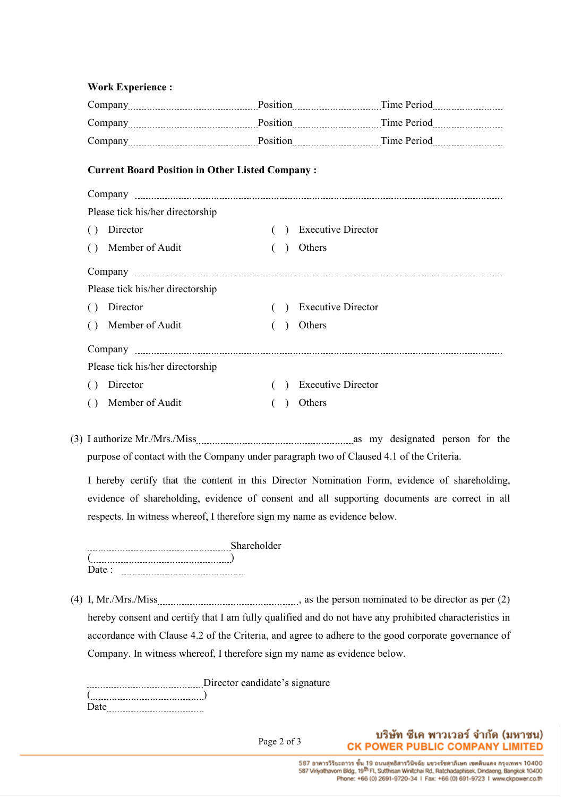#### **Work Experience :**

| <b>Current Board Position in Other Listed Company:</b> |                                  |  |               |                           |  |  |
|--------------------------------------------------------|----------------------------------|--|---------------|---------------------------|--|--|
|                                                        |                                  |  |               |                           |  |  |
|                                                        | Please tick his/her directorship |  |               |                           |  |  |
| ( )                                                    | Director                         |  | $\rightarrow$ | <b>Executive Director</b> |  |  |
| $\left( \right)$                                       | Member of Audit                  |  |               | Others                    |  |  |
|                                                        |                                  |  |               |                           |  |  |
|                                                        | Please tick his/her directorship |  |               |                           |  |  |
|                                                        | () Director                      |  | $\rightarrow$ | <b>Executive Director</b> |  |  |
| $\left( \right)$                                       | Member of Audit                  |  |               | Others                    |  |  |
|                                                        |                                  |  |               |                           |  |  |
|                                                        | Please tick his/her directorship |  |               |                           |  |  |
| ( )                                                    | Director                         |  | $\lambda$     | <b>Executive Director</b> |  |  |
|                                                        | () Member of Audit               |  |               | Others                    |  |  |

(3) I authorize Mr./Mrs./Miss as my designated person for the purpose of contact with the Company under paragraph two of Claused 4.1 of the Criteria.

I hereby certify that the content in this Director Nomination Form, evidence of shareholding, evidence of shareholding, evidence of consent and all supporting documents are correct in all respects. In witness whereof, I therefore sign my name as evidence below.

|      | Chora |  |
|------|-------|--|
|      |       |  |
| Date |       |  |

(4) I, Mr./Mrs./Miss , as the person nominated to be director as per (2) hereby consent and certify that I am fully qualified and do not have any prohibited characteristics in accordance with Clause 4.2 of the Criteria, and agree to adhere to the good corporate governance of Company. In witness whereof, I therefore sign my name as evidence below.

Director candidate's signature ( ) Date

Page 2 of 3